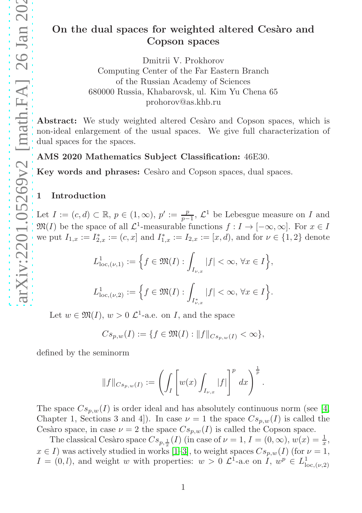# On the dual spaces for weighted altered Cesaro and Copson spaces

Dmitrii V. Prokhorov Computing Center of the Far Eastern Branch of the Russian Academy of Sciences 680000 Russia, Khabarovsk, ul. Kim Yu Chena 65 prohorov@as.khb.ru

Abstract: We study weighted altered Cesàro and Copson spaces, which is non-ideal enlargement of the usual spaces. We give full characterization of dual spaces for the spaces.

AMS 2020 Mathematics Subject Classification: 46E30.

Key words and phrases: Cesaro and Copson spaces, dual spaces.

### 1 Introduction

Let  $I := (c, d) \subset \mathbb{R}, p \in (1, \infty), p' := \frac{p}{p-1}, \mathcal{L}^1$  be Lebesgue measure on I and  $\mathfrak{M}(I)$  be the space of all  $\mathcal{L}^1$ -measurable functions  $f: I \to [-\infty, \infty]$ . For  $x \in I$ we put  $I_{1,x} := I_{2,x}^* := (c, x]$  and  $I_{1,x}^* := I_{2,x} := [x, d)$ , and for  $\nu \in \{1, 2\}$  denote

$$
L^1_{\text{loc},(\nu,1)} := \Big\{ f \in \mathfrak{M}(I) : \int_{I_{\nu,x}} |f| < \infty, \, \forall x \in I \Big\},\
$$
  

$$
L^1_{\text{loc},(\nu,2)} := \Big\{ f \in \mathfrak{M}(I) : \int_{I_{\nu,x}^*} |f| < \infty, \, \forall x \in I \Big\}.
$$

Let  $w \in \mathfrak{M}(I), w > 0$   $\mathcal{L}^1$ -a.e. on I, and the space

 $Cs_{p,w}(I) := \{f \in \mathfrak{M}(I) : ||f||_{Cs_{p,w}(I)} < \infty\},\$ 

defined by the seminorm

$$
||f||_{C_{s_p,w}(I)} := \left(\int_I \left[w(x) \int_{I_{\nu,x}} |f|\right]^p dx\right)^{\frac{1}{p}}
$$

.

The space  $Cs_{p,w}(I)$  is order ideal and has absolutely continuous norm (see [\[4,](#page-10-0) Chapter 1, Sections 3 and 4. In case  $\nu = 1$  the space  $Cs_{p,w}(I)$  is called the Cesàro space, in case  $\nu = 2$  the space  $Cs_{p,w}(I)$  is called the Copson space.

The classical Cesàro space  $Cs_{p, \frac{1}{x}}(I)$  (in case of  $\nu = 1, I = (0, \infty), w(x) = \frac{1}{x},$  $x \in I$ ) was actively studied in works [\[1–](#page-9-0)[3\]](#page-10-1), to weight spaces  $Cs_{p,w}(I)$  (for  $\nu = 1$ ,  $I = (0, l)$ , and weight w with properties:  $w > 0$   $\mathcal{L}^1$ -a.e on  $\tilde{I}$ ,  $w^p \in L^1_{loc, (\nu, 2)}$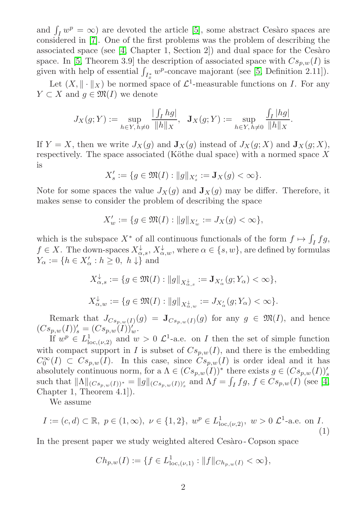and  $\int_I w^p = \infty$ ) are devoted the article [\[5\]](#page-10-2), some abstract Cesàro spaces are considered in [\[7\]](#page-10-3). One of the first problems was the problem of describing the associated space (see  $[4, Chapter 1, Section 2]$ ) and dual space for the Cesaro space. In [\[5,](#page-10-2) Theorem 3.9] the description of associated space with  $Cs_{p,w}(I)$  is given with help of essential  $\int_{I^*_x} w^p$ -concave majorant (see [\[5,](#page-10-2) Definition 2.11]).

Let  $(X, \|\cdot\|_X)$  be normed space of  $\mathcal{L}^1$ -measurable functions on I. For any  $Y \subset X$  and  $g \in \mathfrak{M}(I)$  we denote

$$
J_X(g;Y) := \sup_{h \in Y, h \neq 0} \frac{| \int_I h g |}{\|h\|_X}, \quad \mathbf{J}_X(g;Y) := \sup_{h \in Y, h \neq 0} \frac{\int_I |h g|}{\|h\|_X}
$$

.

If  $Y = X$ , then we write  $J_X(g)$  and  $\mathbf{J}_X(g)$  instead of  $J_X(g; X)$  and  $\mathbf{J}_X(g; X)$ , respectively. The space associated (Köthe dual space) with a normed space  $X$ is

$$
X'_s:=\{g\in\mathfrak{M}(I):\|g\|_{X'_s}:=\mathbf{J}_X(g)<\infty\}.
$$

Note for some spaces the value  $J_X(q)$  and  $J_X(q)$  may be differ. Therefore, it makes sense to consider the problem of describing the space

$$
X'_w := \{ g \in \mathfrak{M}(I) : ||g||_{X'_w} := J_X(g) < \infty \},
$$

which is the subspace  $X^*$  of all continuous functionals of the form  $f \mapsto \int_I fg$ ,  $f \in X$ . The down-spaces  $X_{\alpha,s}^{\downarrow}$ ,  $X_{\alpha,w}^{\downarrow}$ , where  $\alpha \in \{s,w\}$ , are defined by formulas  $Y_{\alpha} := \{ h \in X'_{\alpha} : h \geq 0, h \downarrow \}$  and

$$
\begin{aligned} X_{\alpha,s}^{\downarrow} &:= \{g \in \mathfrak{M}(I): \|g\|_{X_{\alpha,s}^{\downarrow}} := \mathbf{J}_{X_{\alpha}'}(g;Y_{\alpha}) < \infty\}, \\ X_{\alpha,w}^{\downarrow} &:= \{g \in \mathfrak{M}(I): \|g\|_{X_{\alpha,w}^{\downarrow}} := J_{X_{\alpha}'}(g;Y_{\alpha}) < \infty\}. \end{aligned}
$$

Remark that  $J_{Cs_{p,w}(I)}(g) = \mathbf{J}_{Cs_{p,w}(I)}(g)$  for any  $g \in \mathfrak{M}(I)$ , and hence  $(Cs_{p,w}(I))'_{s} = (Cs_{p,w}(I))'_{w}.$ 

If  $w^p \in L^1_{loc,(\nu,2)}$  and  $w > 0$   $\mathcal{L}^1$ -a.e. on I then the set of simple function with compact support in I is subset of  $C_{s_p,w}(I)$ , and there is the embedding  $C_0^{\infty}(I) \subset Cs_{p,w}(I)$ . In this case, since  $Cs_{p,w}(I)$  is order ideal and it has absolutely continuous norm, for a  $\Lambda \in (Cs_{p,w}(I))^*$  there exists  $g \in (Cs_{p,w}(I))'$ such that  $||\Lambda||_{(Cs_{p,w}(I))^*} = ||g||_{(Cs_{p,w}(I))'_s}$  and  $\Lambda f = \int_I fg, f \in Cs_{p,w}(I)$  (see [\[4,](#page-10-0) Chapter 1, Theorem 4.1]).

We assume

<span id="page-1-0"></span>
$$
I := (c, d) \subset \mathbb{R}, \ p \in (1, \infty), \ \nu \in \{1, 2\}, \ w^p \in L^1_{loc, (\nu, 2)}, \ w > 0 \ \mathcal{L}^1
$$
-a.e. on  $I$ . (1)

In the present paper we study weighted altered Cesaro-Copson space

$$
Ch_{p,w}(I) := \{ f \in L^1_{\text{loc},(\nu,1)} : ||f||_{Ch_{p,w}(I)} < \infty \},\
$$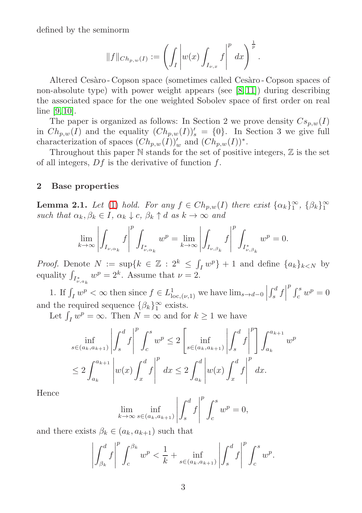defined by the seminorm

$$
||f||_{Ch_{p,w}(I)} := \left(\int_I \left| w(x) \int_{I_{\nu,x}} f \right|^p dx \right)^{\frac{1}{p}}.
$$

Altered Cesàro - Copson space (sometimes called Cesàro - Copson spaces of non-absolute type) with power weight appears (see  $[8, 11]$  $[8, 11]$ ) during describing the associated space for the one weighted Sobolev space of first order on real line [\[9,](#page-10-6) [10\]](#page-10-7).

The paper is organized as follows: In Section 2 we prove density  $Cs_{p,w}(I)$ in  $Ch_{p,w}(I)$  and the equality  $(Ch_{p,w}(I))'_{s} = \{0\}$ . In Section 3 we give full characterization of spaces  $(Ch_{p,w}(I))'_{w}$  and  $(Ch_{p,w}(I))^*$ .

Throughout this paper  $\mathbb N$  stands for the set of positive integers,  $\mathbb Z$  is the set of all integers,  $Df$  is the derivative of function  $f$ .

#### 2 Base properties

<span id="page-2-0"></span>**Lemma 2.1.** Let [\(1\)](#page-1-0) hold. For any  $f \in Ch_{p,w}(I)$  there exist  $\{\alpha_k\}_{1}^{\infty}$ ,  $\{\beta_k\}_{1}^{\infty}$ such that  $\alpha_k, \beta_k \in I$ ,  $\alpha_k \downarrow c$ ,  $\beta_k \uparrow d$  as  $k \to \infty$  and

$$
\lim_{k\to\infty}\left|\int_{I_{\nu,\alpha_k}}f\right|^p\int_{I^*_{\nu,\alpha_k}}w^p=\lim_{k\to\infty}\left|\int_{I_{\nu,\beta_k}}f\right|^p\int_{I^*_{\nu,\beta_k}}w^p=0.
$$

*Proof.* Denote  $N := \sup\{k \in \mathbb{Z} : 2^k \leq \int_I w^p\} + 1$  and define  $\{a_k\}_{k \leq N}$  by equality  $\int_{I^*_{\nu,a_k}} w^p = 2^k$ . Assume that  $\nu = 2$ .

1. If  $\int_I w^p < \infty$  then since  $f \in L^1_{\text{loc},(\nu,1)}$  we have  $\lim_{s \to d-0}$  $\left| \int_s^d f \right|$  $\int_c^p w^p = 0$ and the required sequence  $\{\beta_k\}_1^{\infty}$  exists.

Let  $\int_I w^p = \infty$ . Then  $N = \infty$  and for  $k \ge 1$  we have

$$
\inf_{s \in (a_k, a_{k+1})} \left| \int_s^d f \right|^p \int_c^s w^p \le 2 \left[ \inf_{s \in (a_k, a_{k+1})} \left| \int_s^d f \right|^p \right] \int_{a_k}^{a_{k+1}} w^p
$$
  

$$
\le 2 \int_{a_k}^{a_{k+1}} \left| w(x) \int_x^d f \right|^p dx \le 2 \int_{a_k}^d \left| w(x) \int_x^d f \right|^p dx.
$$

Hence

$$
\lim_{k \to \infty} \inf_{s \in (a_k, a_{k+1})} \left| \int_s^d f \right|^p \int_c^s w^p = 0,
$$

and there exists  $\beta_k \in (a_k, a_{k+1})$  such that

$$
\left| \int_{\beta_k}^d f \right|^p \int_c^{\beta_k} w^p < \frac{1}{k} + \inf_{s \in (a_k, a_{k+1})} \left| \int_s^d f \right|^p \int_c^s w^p.
$$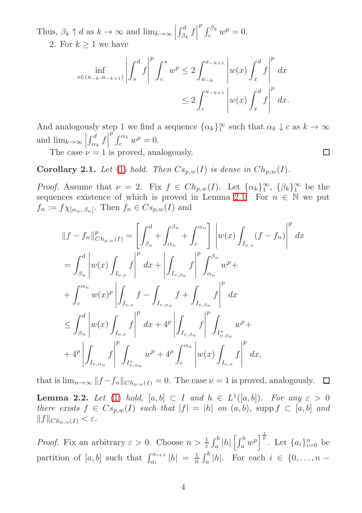Thus,  $\beta_k \uparrow d$  as  $k \to \infty$  and  $\lim_{k \to \infty}$  $\int_{\beta_k}^d f$  $\int_{c}^{p} \int_{c}^{\beta_k} w^p = 0.$ 

2. For  $k > 1$  we have

$$
\inf_{s \in (a_{-k}, a_{-k+1})} \left| \int_s^d f \right|^p \int_c^s w^p \le 2 \int_{a_{-k}}^{a_{-k+1}} \left| w(x) \int_x^d f \right|^p dx
$$
  

$$
\le 2 \int_c^{a_{-k+1}} \left| w(x) \int_x^d f \right|^p dx.
$$

And analogously step 1 we find a sequence  $\{\alpha_k\}_1^{\infty}$  such that  $\alpha_k \downarrow c$  as  $k \to \infty$ and  $\lim_{k\to\infty} \left| \int_{\alpha_k}^d f \right|^p \int_c^{\alpha_k} w^p = 0.$ The case  $\nu = 1$  is proved, analogously. □

<span id="page-3-1"></span>**Corollary 2.1.** Let [\(1\)](#page-1-0) hold. Then  $Cs_{p,w}(I)$  is dense in  $Ch_{p,w}(I)$ .

*Proof.* Assume that  $\nu = 2$ . Fix  $f \in Ch_{p,w}(I)$ . Let  $\{\alpha_k\}_1^{\infty}$ ,  $\{\beta_k\}_1^{\infty}$  be the sequences existence of which is proved in Lemma [2.1.](#page-2-0) For  $n \in \mathbb{N}$  we put  $f_n := f \chi_{[\alpha_n, \beta_n]}$ . Then  $f_n \in C s_{p,w}(I)$  and

$$
||f - f_n||_{Ch_{p,w}(I)}^p = \left[ \int_{\beta_n}^d + \int_{\alpha_n}^{\beta_n} + \int_c^{\alpha_n} \right] \left| w(x) \int_{I_{\nu,x}} (f - f_n) \right|^p dx
$$
  
\n
$$
= \int_{\beta_n}^d \left| w(x) \int_{I_{\nu,x}} f \right|^p dx + \left| \int_{I_{\nu,\beta_n}} f \right|^p \int_{\alpha_n}^{\beta_n} w^p +
$$
  
\n
$$
+ \int_c^{\alpha_n} w(x)^p \left| \int_{I_{\nu,x}} f - \int_{I_{\nu,\alpha_n}} f + \int_{I_{\nu,\beta_n}} f \right|^p dx
$$
  
\n
$$
\leq \int_{\beta_n}^d \left| w(x) \int_{I_{\nu,x}} f \right|^p dx + 4^p \left| \int_{I_{\nu,\beta_n}} f \right|^p \int_{I_{\nu,\beta_n}^*} w^p +
$$
  
\n
$$
+ 4^p \left| \int_{I_{\nu,\alpha_n}} f \right|^p \int_{I_{\nu,\alpha_n}^*} w^p + 4^p \int_c^{\alpha_n} \left| w(x) \int_{I_{\nu,x}} f \right|^p dx,
$$

that is  $\lim_{n\to\infty} ||f - f_n||_{Ch_{n,w}(I)} = 0$ . The case  $\nu = 1$  is proved, analogously. □

<span id="page-3-0"></span>**Lemma 2.2.** Let [\(1\)](#page-1-0) hold,  $[a, b] \subset I$  and  $h \in L^1([a, b])$ . For any  $\varepsilon > 0$ there exists  $f \in Cs_{p,w}(I)$  such that  $|f| = |h|$  on  $(a, b)$ , supp  $f \subset [a, b]$  and  $||f||_{Ch_{p,w}(I)} < \varepsilon.$ 

*Proof.* Fix an arbitrary  $\varepsilon > 0$ . Choose  $n > \frac{1}{\varepsilon} \int_a^b |h| \left[ \int_a^b w^p \right]^{\frac{1}{p}}$ . Let  $\{a_i\}_{i=0}^n$  be partition of  $[a, b]$  such that  $\int_{a_i}^{a_{i+1}} |h| = \frac{1}{n} \int_a^b |h|$ . For each  $i \in \{0, ..., n - 1\}$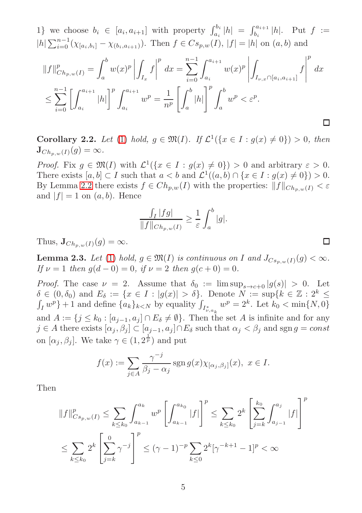1} we choose  $b_i \in [a_i, a_{i+1}]$  with property  $\int_{a_i}^{b_i} |h| = \int_{b_i}^{a_{i+1}} |h|$ . Put  $f :=$  $|h| \sum_{i=0}^{n-1} (\chi_{[a_i,b_i]} - \chi_{(b_i,a_{i+1})}).$  Then  $f \in Cs_{p,w}(I), |f| = |h|$  on  $(a,b)$  and

$$
||f||_{Ch_{p,w}(I)}^p = \int_a^b w(x)^p \left| \int_{I_x} f \right|^p dx = \sum_{i=0}^{n-1} \int_{a_i}^{a_{i+1}} w(x)^p \left| \int_{I_{\nu,x} \cap [a_i, a_{i+1}]} f \right|^p dx
$$
  

$$
\leq \sum_{i=0}^{n-1} \left[ \int_{a_i}^{a_{i+1}} |h| \right]^p \int_{a_i}^{a_{i+1}} w^p = \frac{1}{n^p} \left[ \int_a^b |h| \right]^p \int_a^b w^p < \varepsilon^p.
$$

Corollary 2.2. Let [\(1\)](#page-1-0) hold,  $g \in \mathfrak{M}(I)$ . If  $\mathcal{L}^1(\{x \in I : g(x) \neq 0\}) > 0$ , then  $\mathbf{J}_{Ch_{p,w}(I)}(g) = \infty.$ 

*Proof.* Fix  $g \in \mathfrak{M}(I)$  with  $\mathcal{L}^1(\{x \in I : g(x) \neq 0\}) > 0$  and arbitrary  $\varepsilon > 0$ . There exists  $[a, b] \subset I$  such that  $a < b$  and  $\mathcal{L}^1((a, b) \cap \{x \in I : g(x) \neq 0\}) > 0$ . By Lemma [2.2](#page-3-0) there exists  $f \in Ch_{p,w}(I)$  with the properties:  $||f||_{Ch_{p,w}(I)} < \varepsilon$ and  $|f| = 1$  on  $(a, b)$ . Hence

$$
\frac{\int_I |fg|}{\|f\|_{Ch_{p,w}(I)}} \ge \frac{1}{\varepsilon} \int_a^b |g|.
$$

□

Thus,  $\mathbf{J}_{Ch_{p,w}(I)}(g) = \infty$ .

<span id="page-4-0"></span>**Lemma 2.3.** Let [\(1\)](#page-1-0) hold,  $g \in \mathfrak{M}(I)$  is continuous on I and  $J_{Cs_{p,w}(I)}(g) < \infty$ . If  $\nu = 1$  then  $g(d - 0) = 0$ , if  $\nu = 2$  then  $g(c + 0) = 0$ .

*Proof.* The case  $\nu = 2$ . Assume that  $\delta_0 := \limsup_{s \to c+0} |g(s)| > 0$ . Let  $\delta \in (0, \delta_0)$  and  $E_{\delta} := \{x \in I : |g(x)| > \delta\}.$  Denote  $N := \sup\{k \in \mathbb{Z} : 2^k \leq \delta\}$  $\int_I w^p$  + 1 and define  $\{a_k\}_{k\lt N}$  by equality  $\int_{I^*_{\nu,a_k}} w^p = 2^k$ . Let  $k_0 < \min\{N, 0\}$ and  $A := \{j \leq k_0 : [a_{j-1}, a_j] \cap E_\delta \neq \emptyset\}$ . Then the set A is infinite and for any  $j \in A$  there exists  $[\alpha_j, \beta_j] \subset [a_{j-1}, a_j] \cap E_\delta$  such that  $\alpha_j < \beta_j$  and sgn  $g = const$ on  $[\alpha_j, \beta_j]$ . We take  $\gamma \in (1, 2^{\frac{1}{p}})$  and put

$$
f(x) := \sum_{j \in A} \frac{\gamma^{-j}}{\beta_j - \alpha_j} \operatorname{sgn} g(x) \chi_{[\alpha_j, \beta_j]}(x), \ x \in I.
$$

Then

$$
||f||_{Cs_{p,w}(I)}^p \le \sum_{k \le k_0} \int_{a_{k-1}}^{a_k} w^p \left[ \int_{a_{k-1}}^{a_{k_0}} |f| \right]^p \le \sum_{k \le k_0} 2^k \left[ \sum_{j=k}^{k_0} \int_{a_{j-1}}^{a_j} |f| \right]^p
$$
  

$$
\le \sum_{k \le k_0} 2^k \left[ \sum_{j=k}^0 \gamma^{-j} \right]^p \le (\gamma - 1)^{-p} \sum_{k \le 0} 2^k [\gamma^{-k+1} - 1]^p < \infty
$$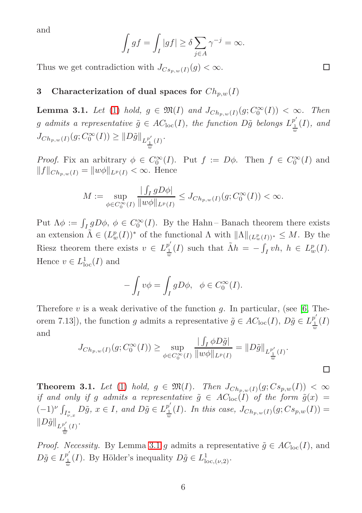and

$$
\int_I gf = \int_I |gf| \ge \delta \sum_{j \in A} \gamma^{-j} = \infty.
$$

Thus we get contradiction with  $J_{Cs_{n,w}(I)}(g) < \infty$ .

## 3 Characterization of dual spaces for  $Ch_{p,w}(I)$

<span id="page-5-0"></span>**Lemma 3.1.** Let [\(1\)](#page-1-0) hold,  $g \in \mathfrak{M}(I)$  and  $J_{Ch_{p,w}(I)}(g; C_0^{\infty}(I)) < \infty$ . Then g admits a representative  $\tilde{g} \in AC_{\text{loc}}(I)$ , the function  $D\tilde{g}$  belongs  $L_1^{p'}$  $\frac{p}{w}(I)$ , and  $J_{Ch_{p,w}(I)}(g; C_0^{\infty}(I)) \geq ||D\tilde{g}||_{L^{p'}_{\underline{1}}(I)}.$ w

*Proof.* Fix an arbitrary  $\phi \in C_0^{\infty}(I)$ . Put  $f := D\phi$ . Then  $f \in C_0^{\infty}(I)$  and  $||f||_{Ch_{p,w}(I)} = ||w\phi||_{L^p(I)} < \infty.$  Hence

$$
M := \sup_{\phi \in C_0^{\infty}(I)} \frac{\left| \int_I g D\phi \right|}{\|w\phi\|_{L^p(I)}} \leq J_{Ch_{p,w}(I)}(g; C_0^{\infty}(I)) < \infty.
$$

Put  $\Lambda \phi := \int_I g D\phi, \ \phi \in C_0^{\infty}(I)$ . By the Hahn-Banach theorem there exists an extension  $\tilde{\Lambda} \in (L^p_w(I))^*$  of the functional  $\Lambda$  with  $\|\Lambda\|_{(L^p_w(I))^*} \leq M$ . By the Riesz theorem there exists  $v \in L_1^{p'}$  $\frac{p'}{w}(I)$  such that  $\tilde{\Lambda}h = -\int_I v h, h \in L^p_w(I)$ . Hence  $v \in L^1_{loc}(I)$  and

$$
-\int_I v\phi = \int_I gD\phi, \quad \phi \in C_0^{\infty}(I).
$$

Therefore  $v$  is a weak derivative of the function  $g$ . In particular, (see [\[6,](#page-10-8) Theorem 7.13]), the function g admits a representative  $\tilde{g} \in AC_{loc}(I), D\tilde{g} \in L_1^{p'}$  $\frac{p}{\frac{1}{w}}(I)$ and

$$
J_{Ch_{p,w}(I)}(g; C_0^{\infty}(I)) \geq \sup_{\phi \in C_0^{\infty}(I)} \frac{\left| \int_I \phi D\tilde{g} \right|}{\|w\phi\|_{L^p(I)}} = \|D\tilde{g}\|_{L^{p'}_{\frac{1}{w}}(I)}.
$$

<span id="page-5-1"></span>**Theorem 3.1.** Let [\(1\)](#page-1-0) hold,  $g \in \mathfrak{M}(I)$ . Then  $J_{Ch_{p,w}(I)}(g; Cs_{p,w}(I)) < \infty$ if and only if g admits a representative  $\tilde{g} \in AC_{\text{loc}}(I)$  of the form  $\tilde{g}(x) =$  $(-1)^{\nu}\int_{I_{\nu,x}^*} D\tilde{g}, x \in I$ , and  $D\tilde{g} \in L_{\frac{1}{w}}^{p'}$  $\frac{1}{16}I_{w}^{p}(I)$ . In this case,  $J_{Ch_{p,w}(I)}(g; Cs_{p,w}(I)) =$  $||D\tilde{g}||_{L^{\frac{p'}{w}}_{\frac{1}{w}}(I)}.$ 

*Proof.* Necessity. By Lemma [3.1](#page-5-0) g admits a representative  $\tilde{g} \in AC_{loc}(I)$ , and  $D\tilde{g} \in L^{p'}_{\underline{1}}$  $\frac{p'}{w}(I)$ . By Hölder's inequality  $D\tilde{g} \in L^1_{loc,(\nu,2)}$ .

 $\Box$ 

□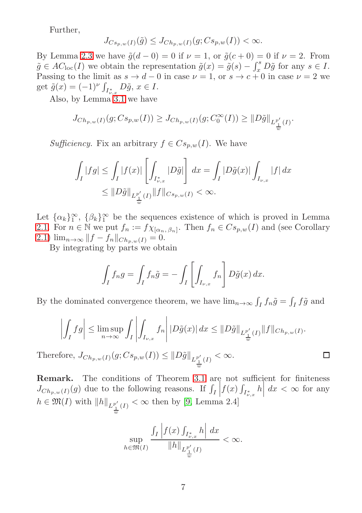Further,

$$
J_{Cs_{p,w}(I)}(\tilde{g}) \leq J_{Ch_{p,w}(I)}(g;Cs_{p,w}(I)) < \infty.
$$

By Lemma [2.3](#page-4-0) we have  $\tilde{g}(d-0) = 0$  if  $\nu = 1$ , or  $\tilde{g}(c+0) = 0$  if  $\nu = 2$ . From  $\tilde{g} \in AC_{\text{loc}}(I)$  we obtain the representation  $\tilde{g}(x) = \tilde{g}(s) - \int_x^s D\tilde{g}$  for any  $s \in I$ . Passing to the limit as  $s \to d - 0$  in case  $\nu = 1$ , or  $s \to c + 0$  in case  $\nu = 2$  we get  $\tilde{g}(x) = (-1)^{\nu} \int_{I_{\nu,x}^*} D\tilde{g}, x \in I.$ 

Also, by Lemma [3.1](#page-5-0) we have

$$
J_{Ch_{p,w}(I)}(g; Cs_{p,w}(I)) \geq J_{Ch_{p,w}(I)}(g; C_0^{\infty}(I)) \geq ||D\tilde{g}||_{L^{p'}_{\frac{1}{w}}(I)}.
$$

Sufficiency. Fix an arbitrary  $f \in Cs_{n,w}(I)$ . We have

$$
\int_I |fg| \le \int_I |f(x)| \left[ \int_{I^*_{\nu,x}} |D\tilde{g}| \right] dx = \int_I |D\tilde{g}(x)| \int_{I_{\nu,x}} |f| dx
$$
  

$$
\le \|D\tilde{g}\|_{L^{p'}_{\frac{1}{w}}(I)} \|f\|_{C s_p,w(I)} < \infty.
$$

Let  $\{\alpha_k\}_{1}^{\infty}$ ,  $\{\beta_k\}_{1}^{\infty}$  be the sequences existence of which is proved in Lemma [2.1.](#page-2-0) For  $n \in \mathbb{N}$  we put  $f_n := f \chi_{[\alpha_n, \beta_n]}$ . Then  $f_n \in Cs_{p,w}(I)$  and (see Corollary [2.1\)](#page-3-1)  $\lim_{n\to\infty} ||f - f_n||_{Ch_{p,w}(I)} = 0.$ 

By integrating by parts we obtain

$$
\int_I f_n g = \int_I f_n \tilde{g} = -\int_I \left[ \int_{I_{\nu,x}} f_n \right] D\tilde{g}(x) dx.
$$

By the dominated convergence theorem, we have  $\lim_{n\to\infty} \int_I f_n \tilde{g} = \int_I f \tilde{g}$  and

$$
\left| \int_I fg \right| \leq \limsup_{n \to \infty} \int_I \left| \int_{I_{\nu,x}} f_n \right| |D\tilde{g}(x)| dx \leq ||D\tilde{g}||_{L^{p'}_{\frac{1}{w}}(I)} ||f||_{Ch_{p,w}(I)}.
$$

□

Therefore,  $J_{Ch_{p,w}(I)}(g; Cs_{p,w}(I)) \leq ||D\tilde{g}||_{L^{p'}_{\frac{1}{w}}(I)} < \infty$ .

Remark. The conditions of Theorem [3.1](#page-5-1) are not sufficient for finiteness  $J_{Ch_{p,w}(I)}(g)$  due to the following reasons. If  $\int_I \left| f(x) \int_{I_{\nu,x}^*} h \right| dx < \infty$  for any  $h \in \mathfrak{M}(I)$  with  $||h||_{L^{\frac{p'}{w}}_{\frac{1}{w}}(I)} < \infty$  then by [\[9,](#page-10-6) Lemma 2.4]

$$
\sup_{h \in \mathfrak{M}(I)} \frac{\int_I \left| f(x) \int_{I^*_{\nu,x}} h \right| dx}{\|h\|_{L^{p'}_{\frac{1}{w}}(I)}} < \infty.
$$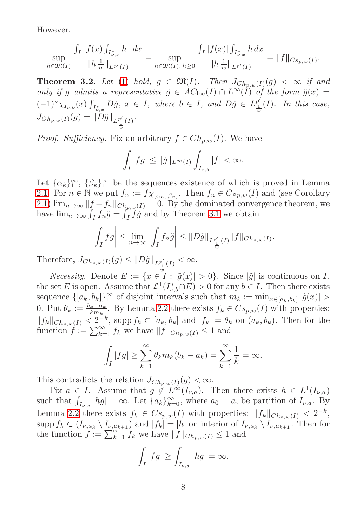However,

$$
\sup_{h \in \mathfrak{M}(I)} \frac{\int_I \left| f(x) \int_{I_{\nu,x}^*} h \right| dx}{\|h\|_{\omega}^1\|_{L^{p'}(I)}} = \sup_{h \in \mathfrak{M}(I), h \ge 0} \frac{\int_I |f(x)| \int_{I_{\nu,x}^*} h dx}{\|h\|_{\omega}^1\|_{L^{p'}(I)}} = \|f\|_{Cs_{p,w}(I)}.
$$

<span id="page-7-0"></span>**Theorem 3.2.** Let [\(1\)](#page-1-0) hold,  $g \in \mathfrak{M}(I)$ . Then  $J_{Ch_n,w}(I)(g) < \infty$  if and only if g admits a representative  $\tilde{g} \in AC_{loc}(I) \cap L^{\infty}(\tilde{I})$  of the form  $\tilde{g}(x) =$  $(-1)^{\nu}\chi_{I_{\nu,b}}(x)\int_{I_{\nu,x}^*}D\tilde{g}, x \in I$ , where  $b \in I$ , and  $D\tilde{g} \in L_{\frac{1}{w}}^{p'}$  $\frac{1}{w}(I)$ . In this case,  $J_{Ch_{p,w}(I)}(g) = ||D\tilde{g}||_{L^{p'}_{\frac{1}{w}}(I)}.$ 

*Proof.* Sufficiency. Fix an arbitrary  $f \in Ch_{p,w}(I)$ . We have

$$
\int_I |fg| \le ||\tilde{g}||_{L^{\infty}(I)} \int_{I_{\nu,b}} |f| < \infty.
$$

Let  $\{\alpha_k\}_{1}^{\infty}$ ,  $\{\beta_k\}_{1}^{\infty}$  be the sequences existence of which is proved in Lemma [2.1.](#page-2-0) For  $n \in \mathbb{N}$  we put  $f_n := f \chi_{[\alpha_n, \beta_n]}$ . Then  $f_n \in Cs_{p,w}(I)$  and (see Corollary [2.1\)](#page-3-1)  $\lim_{n\to\infty}$   $||f - f_n||_{Ch_{p,w}(I)} = 0$ . By the dominated convergence theorem, we have  $\lim_{n\to\infty} \int_I f_n \tilde{g} = \int_I f \tilde{g}$  and by Theorem [3.1](#page-5-1) we obtain

$$
\left| \int_I fg \right| \leq \lim_{n \to \infty} \left| \int_I f_n \tilde{g} \right| \leq \|D\tilde{g}\|_{L^{p'}_{\frac{1}{w}}(I)} \|f\|_{Ch_{p,w}(I)}.
$$

Therefore,  $J_{Ch_{p,w}(I)}(g) \leq ||D\tilde{g}||_{L^{p'}_{\underline{1}}(I)} < \infty$ .

*Necessity.* Denote  $E := \{x \in \overline{I} : |\tilde{g}(x)| > 0\}$ . Since  $|\tilde{g}|$  is continuous on I, the set E is open. Assume that  $\mathcal{L}^1(I^*_{\nu,b}\cap E) > 0$  for any  $b \in I$ . Then there exists sequence  $\{[a_k, b_k]\}_1^{\infty}$  of disjoint intervals such that  $m_k := \min_{x \in [a_k, b_k]} |\tilde{g}(x)| >$ 0. Put  $\theta_k := \frac{b_k - a_k}{km_k}$ . By Lemma [2.2](#page-3-0) there exists  $f_k \in Cs_{p,w}(I)$  with properties:  $||f_k||_{Ch_{p,w}(I)} < 2^{-k}$ , supp  $f_k \subset [a_k, b_k]$  and  $|f_k| = \theta_k$  on  $(a_k, b_k)$ . Then for the function  $\hat{f} := \sum_{k=1}^{\infty} f_k$  we have  $||f||_{Ch_{p,w}(I)} \leq 1$  and

$$
\int_I |fg| \geq \sum_{k=1}^{\infty} \theta_k m_k (b_k - a_k) = \sum_{k=1}^{\infty} \frac{1}{k} = \infty.
$$

This contradicts the relation  $J_{Ch_{p,w}(I)}(g) < \infty$ .

Fix  $a \in I$ . Assume that  $g \notin L^{\infty}(I_{\nu,a})$ . Then there exists  $h \in L^1(I_{\nu,a})$ such that  $\int_{I_{\nu,a}} |hg| = \infty$ . Let  $\{a_k\}_{k=0}^{\infty}$ , where  $a_0 = a$ , be partition of  $I_{\nu,a}$ . By Lemma [2.2](#page-3-0) there exists  $f_k \in Cs_{p,w}(I)$  with properties:  $||f_k||_{Ch_{p,w}(I)} < 2^{-k}$ , supp  $f_k \subset (I_{\nu,a_k} \setminus I_{\nu,a_{k+1}})$  and  $|f_k| = |h|$  on interior of  $I_{\nu,a_k} \setminus I_{\nu,a_{k+1}}$ . Then for the function  $f := \sum_{k=1}^{\infty} f_k$  we have  $||f||_{Ch_{p,w}(I)} \leq 1$  and

$$
\int_I |fg| \ge \int_{I_{\nu,a}} |hg| = \infty.
$$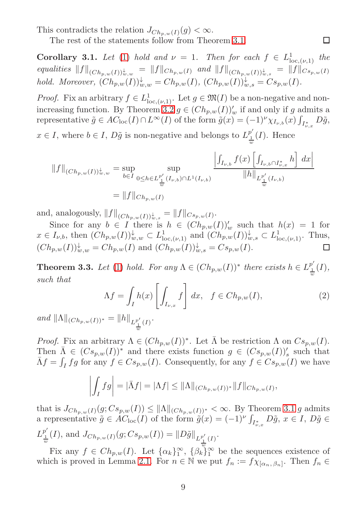This contradicts the relation  $J_{Ch_{p,w}(I)}(g) < \infty$ .

The rest of the statements follow from Theorem [3.1.](#page-5-1)

**Corollary 3.1.** Let [\(1\)](#page-1-0) hold and  $\nu = 1$ . Then for each  $f \in L^1_{loc, (\nu, 1)}$  the equalities  $||f||_{(Ch_{p,w}(I))_{w,w}^{\downarrow}} = ||f||_{Ch_{p,w}(I)}$  and  $||f||_{(Ch_{p,w}(I))_{w,s}^{\downarrow}} = ||f||_{Cs_{p,w}(I)}$ hold. Moreover,  $(Ch_{p,w}(I))_{w,w}^{\downarrow} = Ch_{p,w}(I), (Ch_{p,w}(I))_{w,s}^{\downarrow} = Cs_{p,w}(I).$ 

 $\Box$ 

*Proof.* Fix an arbitrary  $f \in L^1_{loc,(\nu,1)}$ . Let  $g \in \mathfrak{M}(I)$  be a non-negative and non-increasing function. By Theorem [3.2](#page-7-0)  $g \in (Ch_{p,w}(I))'_w$  if and only if g admits a representative  $\tilde{g} \in AC_{\text{loc}}(I) \cap L^{\infty}(I)$  of the form  $\tilde{g}(x) = (-1)^{\nu} \chi_{I_{\nu,b}}(x) \int_{I_{\nu,x}^*} D\tilde{g},$ 

 $x \in I$ , where  $b \in I$ ,  $D\tilde{g}$  is non-negative and belongs to  $L_1^{p'}$  $\frac{p}{w}(I)$ . Hence

$$
||f||_{(Ch_{p,w}(I))_{w,w}^{\downarrow}} = \sup_{b \in I} \sup_{0 \le h \in L_{\frac{1}{w}}^{p'}(I_{\nu,b}) \cap L^{1}(I_{\nu,b})} \frac{\left| \int_{I_{\nu,b}} f(x) \left[ \int_{I_{\nu,b} \cap I_{\nu,x}^{*}} h \right] dx \right|}{||h||_{L_{\frac{1}{w}}^{p'}(I_{\nu,b})}}
$$
  
= ||f||\_{Ch\_{p,w}(I)}

and, analogously,  $||f||_{(Ch_{p,w}(I))_{w,s}^{\downarrow}} = ||f||_{Cs_{p,w}(I)}$ .

Since for any  $b \in I$  there is  $h \in (Ch_{p,w}(I))'_{w}$  such that  $h(x) = 1$  for  $x \in I_{\nu,b}$ , then  $(Ch_{p,w}(I))_{w,w}^{\downarrow} \subset L_{\text{loc},(\nu,1)}^{1}$  and  $(Ch_{p,w}(I))_{w,s}^{\downarrow} \subset L_{\text{loc},(\nu,1)}^{1}$ . Thus,  $(Ch_{p,w}(I))_{w,w}^{\downarrow} = Ch_{p,w}(I)$  and  $(Ch_{p,w}(I))_{w,s}^{\downarrow} = Cs_{p,w}(I)$ . ◻

**Theorem 3.3.** Let [\(1\)](#page-1-0) hold. For any  $\Lambda \in (Ch_{p,w}(I))^*$  there exists  $h \in L_1^{p'}$  $\frac{1}{1}(I),$  $\boldsymbol{w}$ such that

<span id="page-8-0"></span>
$$
\Lambda f = \int_I h(x) \left[ \int_{I_{\nu,x}} f \right] dx, \quad f \in Ch_{p,w}(I), \tag{2}
$$

and  $||\Lambda||_{(Ch_{p,w}(I))^*} = ||h||_{L_{\frac{1}{w}}^{p'}(I)}.$ 

*Proof.* Fix an arbitrary  $\Lambda \in (Ch_{p,w}(I))^*$ . Let  $\overline{\Lambda}$  be restriction  $\Lambda$  on  $Cs_{p,w}(I)$ . Then  $\bar{\Lambda} \in (Cs_{p,w}(I))^*$  and there exists function  $g \in (Cs_{p,w}(I))'_{s}$  such that  $\bar{\Lambda}f = \int_I fg$  for any  $f \in Cs_{p,w}(I)$ . Consequently, for any  $f \in Cs_{p,w}(I)$  we have

$$
\left| \int_I fg \right| = |\bar{\Lambda}f| = |\Lambda f| \le ||\Lambda||_{(Ch_{p,w}(I))^*} ||f||_{Ch_{p,w}(I)},
$$

that is  $J_{Ch_{p,w}(I)}(g; Cs_{p,w}(I)) \leq \|\Lambda\|_{(Ch_{p,w}(I))^*} < \infty$ . By Theorem [3.1](#page-5-1) g admits a representative  $\tilde{g} \in \tilde{AC}_{\text{loc}}(I)$  of the form  $\tilde{g}(x) = (-1)^{\nu} \int_{I^*_{\nu,x}} D\tilde{g}, x \in I$ ,  $D\tilde{g} \in$  $L_1^{p'}$  $\frac{1}{w}(I)$ , and  $J_{Ch_{p,w}(I)}(g; Cs_{p,w}(I)) = ||D\tilde{g}||_{L^{p'}_{\underline{1}}(I)}.$ 

Fix any  $f \in Ch_{p,w}(I)$ . Let  $\{\alpha_k\}_{1}^{\infty}$ ,  $\{\beta_k\}_{1}^{\infty}$  be the sequences existence of which is proved in Lemma [2.1.](#page-2-0) For  $n \in \mathbb{N}$  we put  $f_n := f \chi_{[\alpha_n, \beta_n]}$ . Then  $f_n \in$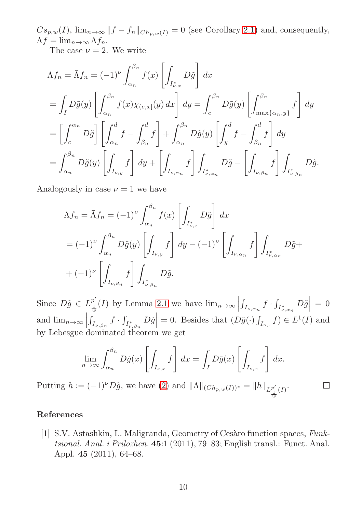$Cs_{p,w}(I)$ ,  $\lim_{n\to\infty}||f - f_n||_{Ch_{p,w}(I)} = 0$  (see Corollary [2.1\)](#page-3-1) and, consequently,  $\Lambda f = \lim_{n \to \infty} \Lambda f_n$ .

The case  $\nu = 2$ . We write

$$
\Lambda f_n = \bar{\Lambda} f_n = (-1)^{\nu} \int_{\alpha_n}^{\beta_n} f(x) \left[ \int_{I_{\nu,x}^*} D\tilde{g} \right] dx
$$
  
\n
$$
= \int_I D\tilde{g}(y) \left[ \int_{\alpha_n}^{\beta_n} f(x) \chi_{(c,x]}(y) dx \right] dy = \int_c^{\beta_n} D\tilde{g}(y) \left[ \int_{\max\{\alpha_n, y\}}^{\beta_n} f \right] dy
$$
  
\n
$$
= \left[ \int_c^{\alpha_n} D\tilde{g} \right] \left[ \int_{\alpha_n}^d f - \int_{\beta_n}^d f \right] + \int_{\alpha_n}^{\beta_n} D\tilde{g}(y) \left[ \int_y^d f - \int_{\beta_n}^d f \right] dy
$$
  
\n
$$
= \int_{\alpha_n}^{\beta_n} D\tilde{g}(y) \left[ \int_{I_{\nu,y}} f \right] dy + \left[ \int_{I_{\nu,\alpha_n}} f \right] \int_{I_{\nu,\alpha_n}^*} D\tilde{g} - \left[ \int_{I_{\nu,\beta_n}} f \right] \int_{I_{\nu,\beta_n}^*} D\tilde{g}.
$$

Analogously in case  $\nu = 1$  we have

$$
\Lambda f_n = \bar{\Lambda} f_n = (-1)^{\nu} \int_{\alpha_n}^{\beta_n} f(x) \left[ \int_{I_{\nu,x}^*} D\tilde{g} \right] dx
$$
  
\n
$$
= (-1)^{\nu} \int_{\alpha_n}^{\beta_n} D\tilde{g}(y) \left[ \int_{I_{\nu,y}} f \right] dy - (-1)^{\nu} \left[ \int_{I_{\nu,\alpha_n}} f \right] \int_{I_{\nu,\alpha_n}^*} D\tilde{g} + (-1)^{\nu} \left[ \int_{I_{\nu,\beta_n}} f \right] \int_{I_{\nu,\beta_n}^*} D\tilde{g}.
$$

Since  $D\tilde{g} \in L_1^{p'}$  $\lim_{w \to \infty}$  (I) by Lemma [2.1](#page-2-0) we have  $\lim_{n \to \infty}$  $\int_{I_{\nu,\alpha_n}} f \cdot \int_{I_{\nu,\alpha_n}^*} D\tilde{g}$  = 0 and  $\lim_{n\to\infty}$  $\left|\int_{I_{\nu,\beta_n}} f \cdot \int_{I_{\nu,\beta_n}^*} D\tilde{g}\right| = 0$ . Besides that  $(D\tilde{g}(\cdot) \int_{I_{\nu,\cdot}} f) \in L^1(I)$  and by Lebesgue dominated theorem we get

$$
\lim_{n \to \infty} \int_{\alpha_n}^{\beta_n} D\tilde{g}(x) \left[ \int_{I_{\nu,x}} f \right] dx = \int_I D\tilde{g}(x) \left[ \int_{I_{\nu,x}} f \right] dx.
$$

 $\Box$ 

Putting  $h := (-1)^{\nu} D\tilde{g}$ , we have [\(2\)](#page-8-0) and  $||\Lambda||_{(Ch_{p,w}(I))^*} = ||h||_{L_{\underline{1}}^{p'}(I)}$ . w

## <span id="page-9-0"></span>References

[1] S.V. Astashkin, L. Maligranda, Geometry of Cesàro function spaces, Funktsional. Anal. i Prilozhen. 45:1 (2011), 79–83; English transl.: Funct. Anal. Appl. 45 (2011), 64–68.